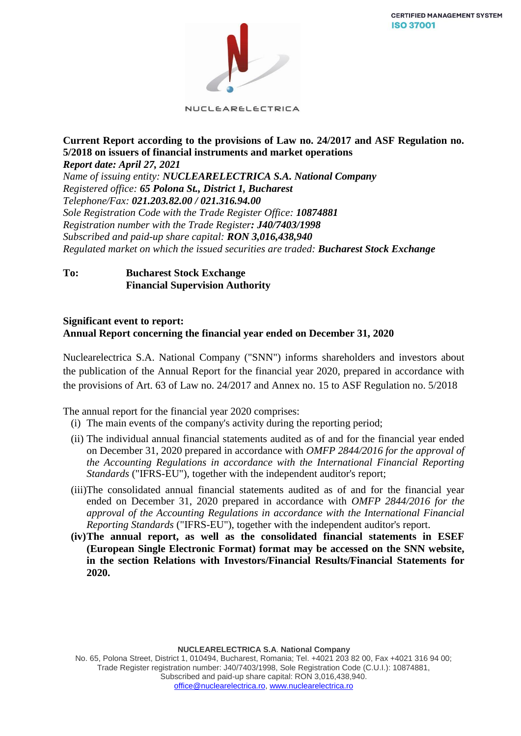

NUCLEARELECTRICA

### **Current Report according to the provisions of Law no. 24/2017 and ASF Regulation no. 5/2018 on issuers of financial instruments and market operations** *Report date: April 27, 2021*

*Name of issuing entity: NUCLEARELECTRICA S.A. National Company Registered office: 65 Polona St., District 1, Bucharest Telephone/Fax: 021.203.82.00 / 021.316.94.00 Sole Registration Code with the Trade Register Office: 10874881 Registration number with the Trade Register: J40/7403/1998 Subscribed and paid-up share capital: RON 3,016,438,940 Regulated market on which the issued securities are traded: Bucharest Stock Exchange*

# **To: Bucharest Stock Exchange Financial Supervision Authority**

### **Significant event to report: Annual Report concerning the financial year ended on December 31, 2020**

Nuclearelectrica S.A. National Company ("SNN") informs shareholders and investors about the publication of the Annual Report for the financial year 2020, prepared in accordance with the provisions of Art. 63 of Law no. 24/2017 and Annex no. 15 to ASF Regulation no. 5/2018

The annual report for the financial year 2020 comprises:

- (i) The main events of the company's activity during the reporting period;
- (ii) The individual annual financial statements audited as of and for the financial year ended on December 31, 2020 prepared in accordance with *OMFP 2844/2016 for the approval of the Accounting Regulations in accordance with the International Financial Reporting Standards* ("IFRS-EU"), together with the independent auditor's report;
- (iii)The consolidated annual financial statements audited as of and for the financial year ended on December 31, 2020 prepared in accordance with *OMFP 2844/2016 for the approval of the Accounting Regulations in accordance with the International Financial Reporting Standards* ("IFRS-EU"), together with the independent auditor's report.
- **(iv)The annual report, as well as the consolidated financial statements in ESEF (European Single Electronic Format) format may be accessed on the SNN website, in the section Relations with Investors/Financial Results/Financial Statements for 2020.**

**NUCLEARELECTRICA S.A**. **National Company**

No. 65, Polona Street, District 1, 010494, Bucharest, Romania; Tel. +4021 203 82 00, Fax +4021 316 94 00; Trade Register registration number: J40/7403/1998, Sole Registration Code (C.U.I.): 10874881, Subscribed and paid-up share capital: RON 3,016,438,940. [office@nuclearelectrica.ro,](mailto:office@nuclearelectrica.ro) [www.nuclearelectrica.ro](http://www.nuclearelectrica.ro/)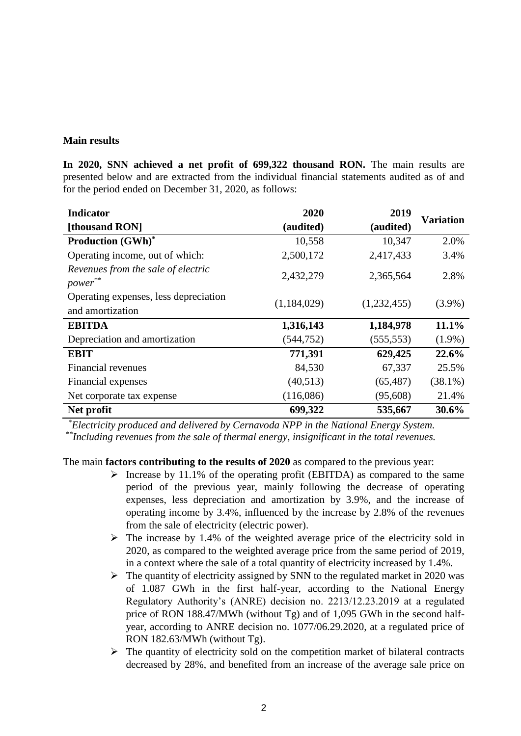#### **Main results**

**In 2020, SNN achieved a net profit of 699,322 thousand RON.** The main results are presented below and are extracted from the individual financial statements audited as of and for the period ended on December 31, 2020, as follows:

| <b>Indicator</b>                                          | 2020        | 2019        | <b>Variation</b> |
|-----------------------------------------------------------|-------------|-------------|------------------|
| [thousand RON]                                            | (audited)   | (audited)   |                  |
| <b>Production (GWh)*</b>                                  | 10,558      | 10,347      | 2.0%             |
| Operating income, out of which:                           | 2,500,172   | 2,417,433   | 3.4%             |
| Revenues from the sale of electric<br>power**             | 2,432,279   | 2,365,564   | 2.8%             |
| Operating expenses, less depreciation<br>and amortization | (1,184,029) | (1,232,455) | $(3.9\%)$        |
| <b>EBITDA</b>                                             | 1,316,143   | 1,184,978   | 11.1%            |
| Depreciation and amortization                             | (544, 752)  | (555, 553)  | $(1.9\%)$        |
| <b>EBIT</b>                                               | 771,391     | 629,425     | 22.6%            |
| <b>Financial revenues</b>                                 | 84,530      | 67,337      | 25.5%            |
| Financial expenses                                        | (40,513)    | (65, 487)   | $(38.1\%)$       |
| Net corporate tax expense                                 | (116,086)   | (95, 608)   | 21.4%            |
| Net profit                                                | 699,322     | 535,667     | 30.6%            |

*\*Electricity produced and delivered by Cernavoda NPP in the National Energy System.*

*\*\*Including revenues from the sale of thermal energy, insignificant in the total revenues.*

The main **factors contributing to the results of 2020** as compared to the previous year:

- ➢ Increase by 11.1% of the operating profit (EBITDA) as compared to the same period of the previous year, mainly following the decrease of operating expenses, less depreciation and amortization by 3.9%, and the increase of operating income by 3.4%, influenced by the increase by 2.8% of the revenues from the sale of electricity (electric power).
- ➢ The increase by 1.4% of the weighted average price of the electricity sold in 2020, as compared to the weighted average price from the same period of 2019, in a context where the sale of a total quantity of electricity increased by 1.4%.
- ➢ The quantity of electricity assigned by SNN to the regulated market in 2020 was of 1.087 GWh in the first half-year, according to the National Energy Regulatory Authority's (ANRE) decision no. 2213/12.23.2019 at a regulated price of RON 188.47/MWh (without Tg) and of 1,095 GWh in the second halfyear, according to ANRE decision no. 1077/06.29.2020, at a regulated price of RON 182.63/MWh (without Tg).
- $\triangleright$  The quantity of electricity sold on the competition market of bilateral contracts decreased by 28%, and benefited from an increase of the average sale price on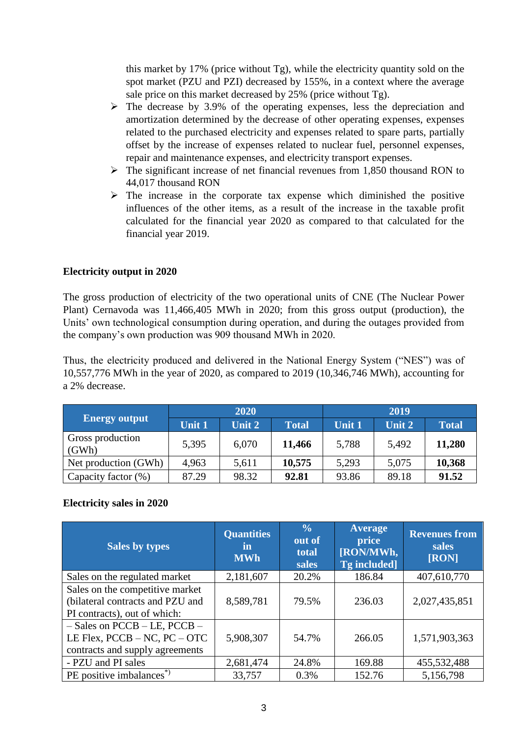this market by 17% (price without Tg), while the electricity quantity sold on the spot market (PZU and PZI) decreased by 155%, in a context where the average sale price on this market decreased by 25% (price without Tg).

- $\triangleright$  The decrease by 3.9% of the operating expenses, less the depreciation and amortization determined by the decrease of other operating expenses, expenses related to the purchased electricity and expenses related to spare parts, partially offset by the increase of expenses related to nuclear fuel, personnel expenses, repair and maintenance expenses, and electricity transport expenses.
- ➢ The significant increase of net financial revenues from 1,850 thousand RON to 44,017 thousand RON
- $\triangleright$  The increase in the corporate tax expense which diminished the positive influences of the other items, as a result of the increase in the taxable profit calculated for the financial year 2020 as compared to that calculated for the financial year 2019.

# **Electricity output in 2020**

The gross production of electricity of the two operational units of CNE (The Nuclear Power Plant) Cernavoda was 11,466,405 MWh in 2020; from this gross output (production), the Units' own technological consumption during operation, and during the outages provided from the company's own production was 909 thousand MWh in 2020.

Thus, the electricity produced and delivered in the National Energy System ("NES") was of 10,557,776 MWh in the year of 2020, as compared to 2019 (10,346,746 MWh), accounting for a 2% decrease.

|                           | 2020          |        |              | 2019   |        |              |
|---------------------------|---------------|--------|--------------|--------|--------|--------------|
| <b>Energy output</b>      | <b>Unit 1</b> | Unit 2 | <b>Total</b> | Unit 1 | Unit 2 | <b>Total</b> |
| Gross production<br>(GWh) | 5,395         | 6,070  | 11,466       | 5,788  | 5,492  | 11,280       |
| Net production (GWh)      | 4,963         | 5,611  | 10,575       | 5,293  | 5,075  | 10,368       |
| Capacity factor (%)       | 87.29         | 98.32  | 92.81        | 93.86  | 89.18  | 91.52        |

# **Electricity sales in 2020**

| <b>Sales by types</b>                                                                                      | <b>Quantities</b><br>in<br><b>MWh</b> | $\frac{0}{0}$<br>out of<br>total<br>sales | <b>Average</b><br>price<br>[RON/MWh,<br>Tg included] | <b>Revenues from</b><br>sales<br>[RON] |
|------------------------------------------------------------------------------------------------------------|---------------------------------------|-------------------------------------------|------------------------------------------------------|----------------------------------------|
| Sales on the regulated market                                                                              | 2,181,607                             | 20.2%                                     | 186.84                                               | 407,610,770                            |
| Sales on the competitive market<br>(bilateral contracts and PZU and<br>PI contracts), out of which:        | 8,589,781                             | 79.5%                                     | 236.03                                               | 2,027,435,851                          |
| $-$ Sales on PCCB $-$ LE, PCCB $-$<br>LE Flex, $PCCB - NC$ , $PC - OTC$<br>contracts and supply agreements | 5,908,307                             | 54.7%                                     | 266.05                                               | 1,571,903,363                          |
| - PZU and PI sales                                                                                         | 2,681,474                             | 24.8%                                     | 169.88                                               | 455,532,488                            |
| PE positive imbalances <sup>*</sup>                                                                        | 33,757                                | 0.3%                                      | 152.76                                               | 5,156,798                              |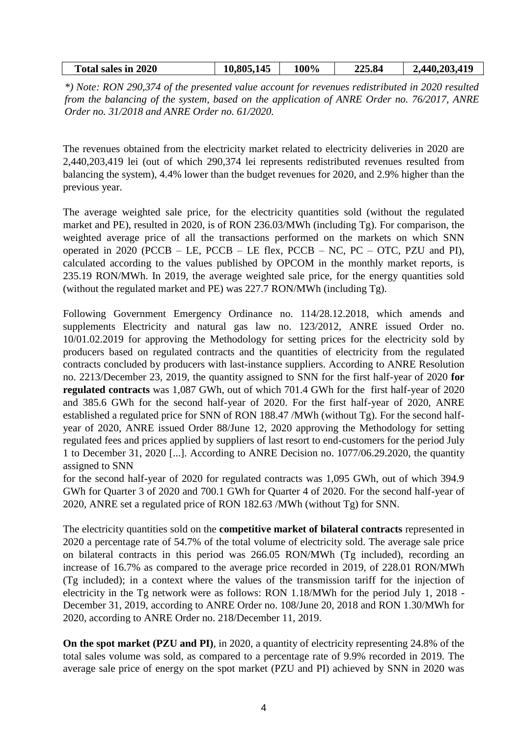| <b>Total sales in 2020</b> | $\overline{145}$<br>.805. | 100% | 225.84 | .203.419<br>.440 |
|----------------------------|---------------------------|------|--------|------------------|
|                            |                           |      |        |                  |

*\*) Note: RON 290,374 of the presented value account for revenues redistributed in 2020 resulted from the balancing of the system, based on the application of ANRE Order no. 76/2017, ANRE Order no. 31/2018 and ANRE Order no. 61/2020.*

The revenues obtained from the electricity market related to electricity deliveries in 2020 are 2,440,203,419 lei (out of which 290,374 lei represents redistributed revenues resulted from balancing the system), 4.4% lower than the budget revenues for 2020, and 2.9% higher than the previous year.

The average weighted sale price, for the electricity quantities sold (without the regulated market and PE), resulted in 2020, is of RON 236.03/MWh (including Tg). For comparison, the weighted average price of all the transactions performed on the markets on which SNN operated in 2020 (PCCB – LE, PCCB – LE flex, PCCB – NC, PC – OTC, PZU and PI), calculated according to the values published by OPCOM in the monthly market reports, is 235.19 RON/MWh. In 2019, the average weighted sale price, for the energy quantities sold (without the regulated market and PE) was 227.7 RON/MWh (including Tg).

Following Government Emergency Ordinance no. 114/28.12.2018, which amends and supplements Electricity and natural gas law no. 123/2012, ANRE issued Order no. 10/01.02.2019 for approving the Methodology for setting prices for the electricity sold by producers based on regulated contracts and the quantities of electricity from the regulated contracts concluded by producers with last-instance suppliers. According to ANRE Resolution no. 2213/December 23, 2019, the quantity assigned to SNN for the first half-year of 2020 **for regulated contracts** was 1,087 GWh, out of which 701.4 GWh for the first half-year of 2020 and 385.6 GWh for the second half-year of 2020. For the first half-year of 2020, ANRE established a regulated price for SNN of RON 188.47 /MWh (without Tg). For the second halfyear of 2020, ANRE issued Order 88/June 12, 2020 approving the Methodology for setting regulated fees and prices applied by suppliers of last resort to end-customers for the period July 1 to December 31, 2020 [...]. According to ANRE Decision no. 1077/06.29.2020, the quantity assigned to SNN

for the second half-year of 2020 for regulated contracts was 1,095 GWh, out of which 394.9 GWh for Quarter 3 of 2020 and 700.1 GWh for Quarter 4 of 2020. For the second half-year of 2020, ANRE set a regulated price of RON 182.63 /MWh (without Tg) for SNN.

The electricity quantities sold on the **competitive market of bilateral contracts** represented in 2020 a percentage rate of 54.7% of the total volume of electricity sold. The average sale price on bilateral contracts in this period was 266.05 RON/MWh (Tg included), recording an increase of 16.7% as compared to the average price recorded in 2019, of 228.01 RON/MWh (Tg included); in a context where the values of the transmission tariff for the injection of electricity in the Tg network were as follows: RON 1.18/MWh for the period July 1, 2018 - December 31, 2019, according to ANRE Order no. 108/June 20, 2018 and RON 1.30/MWh for 2020, according to ANRE Order no. 218/December 11, 2019.

**On the spot market (PZU and PI)**, in 2020, a quantity of electricity representing 24.8% of the total sales volume was sold, as compared to a percentage rate of 9.9% recorded in 2019. The average sale price of energy on the spot market (PZU and PI) achieved by SNN in 2020 was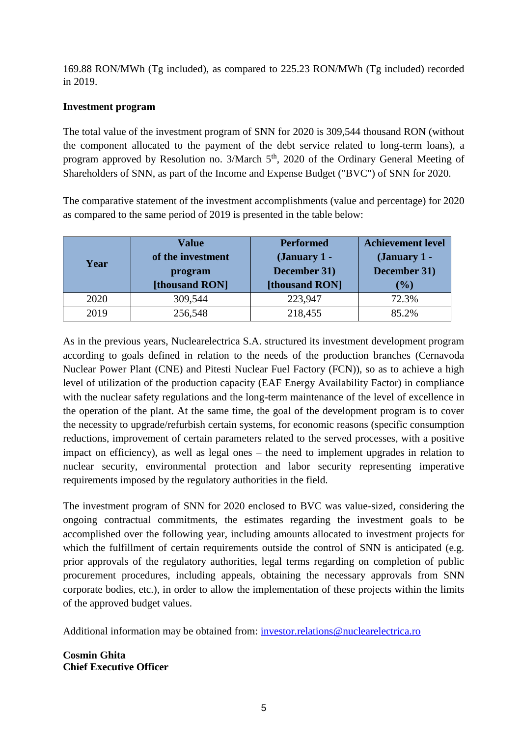169.88 RON/MWh (Tg included), as compared to 225.23 RON/MWh (Tg included) recorded in 2019.

# **Investment program**

The total value of the investment program of SNN for 2020 is 309,544 thousand RON (without the component allocated to the payment of the debt service related to long-term loans), a program approved by Resolution no.  $3/March 5<sup>th</sup>$ , 2020 of the Ordinary General Meeting of Shareholders of SNN, as part of the Income and Expense Budget ("BVC") of SNN for 2020.

The comparative statement of the investment accomplishments (value and percentage) for 2020 as compared to the same period of 2019 is presented in the table below:

| Year | <b>Value</b><br>of the investment<br>program<br>[thousand RON] | <b>Performed</b><br>(January 1 -<br>December 31)<br>[thousand RON] | <b>Achievement level</b><br>(January 1 -<br>December 31)<br>$(\%)$ |
|------|----------------------------------------------------------------|--------------------------------------------------------------------|--------------------------------------------------------------------|
| 2020 | 309,544                                                        | 223,947                                                            | 72.3%                                                              |
| 2019 | 256,548                                                        | 218,455                                                            | 85.2%                                                              |

As in the previous years, Nuclearelectrica S.A. structured its investment development program according to goals defined in relation to the needs of the production branches (Cernavoda Nuclear Power Plant (CNE) and Pitesti Nuclear Fuel Factory (FCN)), so as to achieve a high level of utilization of the production capacity (EAF Energy Availability Factor) in compliance with the nuclear safety regulations and the long-term maintenance of the level of excellence in the operation of the plant. At the same time, the goal of the development program is to cover the necessity to upgrade/refurbish certain systems, for economic reasons (specific consumption reductions, improvement of certain parameters related to the served processes, with a positive impact on efficiency), as well as legal ones – the need to implement upgrades in relation to nuclear security, environmental protection and labor security representing imperative requirements imposed by the regulatory authorities in the field.

The investment program of SNN for 2020 enclosed to BVC was value-sized, considering the ongoing contractual commitments, the estimates regarding the investment goals to be accomplished over the following year, including amounts allocated to investment projects for which the fulfillment of certain requirements outside the control of SNN is anticipated (e.g. prior approvals of the regulatory authorities, legal terms regarding on completion of public procurement procedures, including appeals, obtaining the necessary approvals from SNN corporate bodies, etc.), in order to allow the implementation of these projects within the limits of the approved budget values.

Additional information may be obtained from: [investor.relations@nuclearelectrica.ro](mailto:investor.relations@nuclearelectrica.ro)

**Cosmin Ghita Chief Executive Officer**